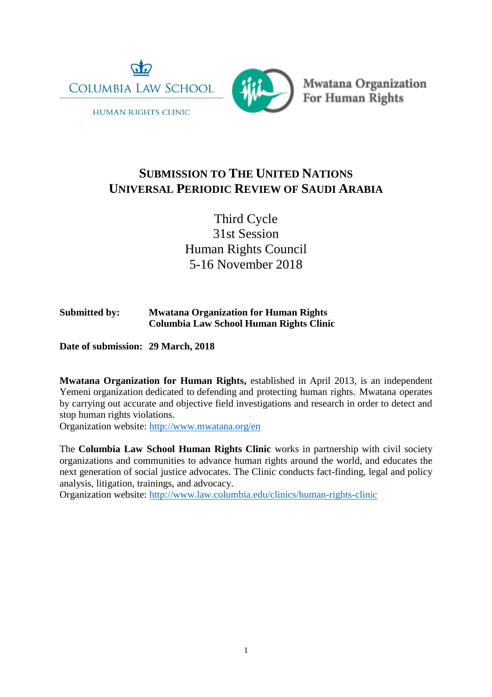

**HUMAN RIGHTS CLINIC** 



Mwatana Organization<br>For Human Rights

# **SUBMISSION TO THE UNITED NATIONS UNIVERSAL PERIODIC REVIEW OF SAUDI ARABIA**

Third Cycle 31st Session Human Rights Council 5-16 November 2018

# **Submitted by: Mwatana Organization for Human Rights Columbia Law School Human Rights Clinic**

**Date of submission: 29 March, 2018**

**Mwatana Organization for Human Rights,** established in April 2013, is an independent Yemeni organization dedicated to defending and protecting human rights. Mwatana operates by carrying out accurate and objective field investigations and research in order to detect and stop human rights violations.

Organization website: <http://www.mwatana.org/en>

The **Columbia Law School Human Rights Clinic** works in partnership with civil society organizations and communities to advance human rights around the world, and educates the next generation of social justice advocates. The Clinic conducts fact-finding, legal and policy analysis, litigation, trainings, and advocacy.

Organization website: <http://www.law.columbia.edu/clinics/human-rights-clinic>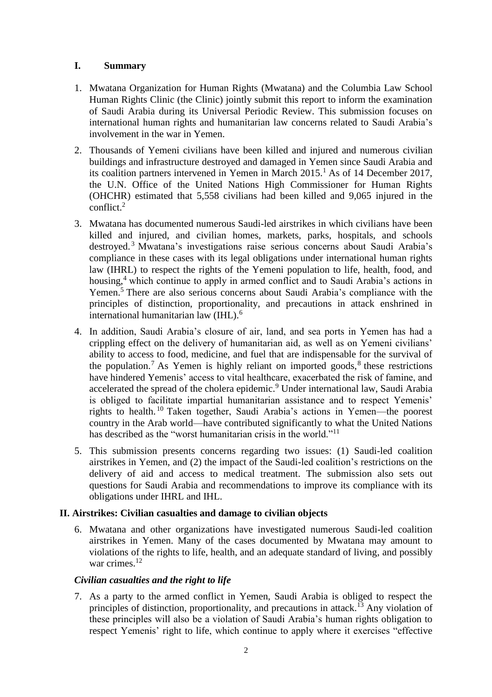# **I. Summary**

- 1. Mwatana Organization for Human Rights (Mwatana) and the Columbia Law School Human Rights Clinic (the Clinic) jointly submit this report to inform the examination of Saudi Arabia during its Universal Periodic Review. This submission focuses on international human rights and humanitarian law concerns related to Saudi Arabia's involvement in the war in Yemen.
- 2. Thousands of Yemeni civilians have been killed and injured and numerous civilian buildings and infrastructure destroyed and damaged in Yemen since Saudi Arabia and its coalition partners intervened in Yemen in March 2015. <sup>1</sup> As of 14 December 2017, the U.N. Office of the United Nations High Commissioner for Human Rights (OHCHR) estimated that 5,558 civilians had been killed and 9,065 injured in the conflict. $2$
- 3. Mwatana has documented numerous Saudi-led airstrikes in which civilians have been killed and injured, and civilian homes, markets, parks, hospitals, and schools destroyed.<sup>3</sup> Mwatana's investigations raise serious concerns about Saudi Arabia's compliance in these cases with its legal obligations under international human rights law (IHRL) to respect the rights of the Yemeni population to life, health, food, and housing,<sup>4</sup> which continue to apply in armed conflict and to Saudi Arabia's actions in Yemen.<sup>5</sup> There are also serious concerns about Saudi Arabia's compliance with the principles of distinction, proportionality, and precautions in attack enshrined in international humanitarian law (IHL).<sup>6</sup>
- 4. In addition, Saudi Arabia's closure of air, land, and sea ports in Yemen has had a crippling effect on the delivery of humanitarian aid, as well as on Yemeni civilians' ability to access to food, medicine, and fuel that are indispensable for the survival of the population.<sup>7</sup> As Yemen is highly reliant on imported goods,  $8$  these restrictions have hindered Yemenis' access to vital healthcare, exacerbated the risk of famine, and accelerated the spread of the cholera epidemic.<sup>9</sup> Under international law, Saudi Arabia is obliged to facilitate impartial humanitarian assistance and to respect Yemenis' rights to health. <sup>10</sup> Taken together, Saudi Arabia's actions in Yemen—the poorest country in the Arab world—have contributed significantly to what the United Nations has described as the "worst humanitarian crisis in the world."<sup>11</sup>
- 5. This submission presents concerns regarding two issues: (1) Saudi-led coalition airstrikes in Yemen, and (2) the impact of the Saudi-led coalition's restrictions on the delivery of aid and access to medical treatment. The submission also sets out questions for Saudi Arabia and recommendations to improve its compliance with its obligations under IHRL and IHL.

# **II. Airstrikes: Civilian casualties and damage to civilian objects**

6. Mwatana and other organizations have investigated numerous Saudi-led coalition airstrikes in Yemen. Many of the cases documented by Mwatana may amount to violations of the rights to life, health, and an adequate standard of living, and possibly war crimes.<sup>12</sup>

# *Civilian casualties and the right to life*

7. As a party to the armed conflict in Yemen, Saudi Arabia is obliged to respect the principles of distinction, proportionality, and precautions in attack.<sup>13</sup> Any violation of these principles will also be a violation of Saudi Arabia's human rights obligation to respect Yemenis' right to life, which continue to apply where it exercises "effective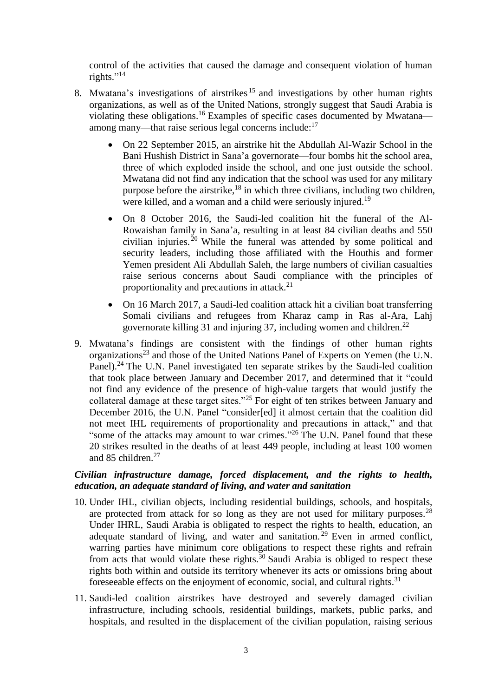control of the activities that caused the damage and consequent violation of human rights." 14

- 8. Mwatana's investigations of airstrikes<sup>15</sup> and investigations by other human rights organizations, as well as of the United Nations, strongly suggest that Saudi Arabia is violating these obligations.<sup>16</sup> Examples of specific cases documented by Mwatana among many—that raise serious legal concerns include:<sup>17</sup>
	- On 22 September 2015, an airstrike hit the Abdullah Al-Wazir School in the Bani Hushish District in Sana'a governorate—four bombs hit the school area, three of which exploded inside the school, and one just outside the school. Mwatana did not find any indication that the school was used for any military purpose before the airstrike,<sup>18</sup> in which three civilians, including two children, were killed, and a woman and a child were seriously injured.<sup>19</sup>
	- On 8 October 2016, the Saudi-led coalition hit the funeral of the Al-Rowaishan family in Sana'a, resulting in at least 84 civilian deaths and 550 civilian injuries.<sup>20</sup> While the funeral was attended by some political and security leaders, including those affiliated with the Houthis and former Yemen president Ali Abdullah Saleh, the large numbers of civilian casualties raise serious concerns about Saudi compliance with the principles of proportionality and precautions in attack. $21$
	- On 16 March 2017, a Saudi-led coalition attack hit a civilian boat transferring Somali civilians and refugees from Kharaz camp in Ras al-Ara, Lahj governorate killing 31 and injuring 37, including women and children. $^{22}$
- 9. Mwatana's findings are consistent with the findings of other human rights organizations<sup>23</sup> and those of the United Nations Panel of Experts on Yemen (the U.N. Panel).<sup>24</sup> The U.N. Panel investigated ten separate strikes by the Saudi-led coalition that took place between January and December 2017, and determined that it "could not find any evidence of the presence of high-value targets that would justify the collateral damage at these target sites."<sup>25</sup> For eight of ten strikes between January and December 2016, the U.N. Panel "consider[ed] it almost certain that the coalition did not meet IHL requirements of proportionality and precautions in attack," and that "some of the attacks may amount to war crimes."<sup>26</sup> The U.N. Panel found that these 20 strikes resulted in the deaths of at least 449 people, including at least 100 women and 85 children.<sup>27</sup>

### *Civilian infrastructure damage, forced displacement, and the rights to health, education, an adequate standard of living, and water and sanitation*

- 10. Under IHL, civilian objects, including residential buildings, schools, and hospitals, are protected from attack for so long as they are not used for military purposes.<sup>28</sup> Under IHRL, Saudi Arabia is obligated to respect the rights to health, education, an adequate standard of living, and water and sanitation.<sup>29</sup> Even in armed conflict, warring parties have minimum core obligations to respect these rights and refrain from acts that would violate these rights.<sup>30</sup> Saudi Arabia is obliged to respect these rights both within and outside its territory whenever its acts or omissions bring about foreseeable effects on the enjoyment of economic, social, and cultural rights.<sup>31</sup>
- 11. Saudi-led coalition airstrikes have destroyed and severely damaged civilian infrastructure, including schools, residential buildings, markets, public parks, and hospitals, and resulted in the displacement of the civilian population, raising serious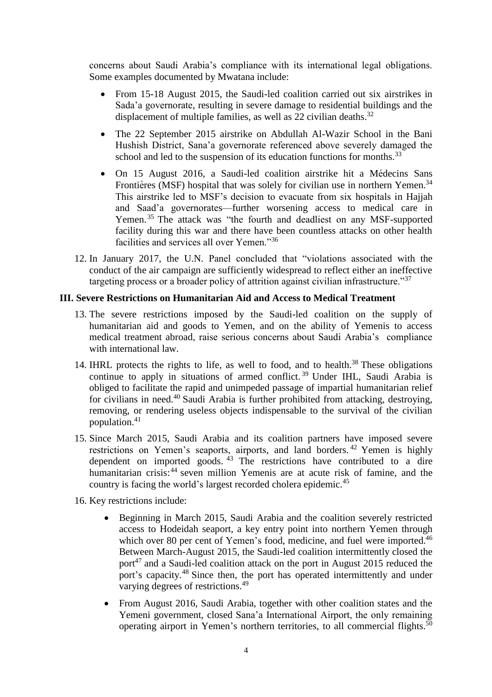concerns about Saudi Arabia's compliance with its international legal obligations. Some examples documented by Mwatana include:

- From 15-18 August 2015, the Saudi-led coalition carried out six airstrikes in Sada'a governorate, resulting in severe damage to residential buildings and the displacement of multiple families, as well as 22 civilian deaths.<sup>32</sup>
- The 22 September 2015 airstrike on Abdullah Al-Wazir School in the Bani Hushish District, Sana'a governorate referenced above severely damaged the school and led to the suspension of its education functions for months.<sup>33</sup>
- On 15 August 2016, a Saudi-led coalition airstrike hit a Médecins Sans Frontières (MSF) hospital that was solely for civilian use in northern Yemen.<sup>34</sup> This airstrike led to MSF's decision to evacuate from six hospitals in Hajjah and Saad'a governorates—further worsening access to medical care in Yemen.<sup>35</sup> The attack was "the fourth and deadliest on any MSF-supported facility during this war and there have been countless attacks on other health facilities and services all over Yemen."<sup>36</sup>
- 12. In January 2017, the U.N. Panel concluded that "violations associated with the conduct of the air campaign are sufficiently widespread to reflect either an ineffective targeting process or a broader policy of attrition against civilian infrastructure."<sup>37</sup>

### **III. Severe Restrictions on Humanitarian Aid and Access to Medical Treatment**

- 13. The severe restrictions imposed by the Saudi-led coalition on the supply of humanitarian aid and goods to Yemen, and on the ability of Yemenis to access medical treatment abroad, raise serious concerns about Saudi Arabia's compliance with international law.
- 14. IHRL protects the rights to life, as well to food, and to health. <sup>38</sup> These obligations continue to apply in situations of armed conflict.<sup>39</sup> Under IHL, Saudi Arabia is obliged to facilitate the rapid and unimpeded passage of impartial humanitarian relief for civilians in need.<sup>40</sup> Saudi Arabia is further prohibited from attacking, destroying, removing, or rendering useless objects indispensable to the survival of the civilian population.<sup>41</sup>
- 15. Since March 2015, Saudi Arabia and its coalition partners have imposed severe restrictions on Yemen's seaports, airports, and land borders. <sup>42</sup> Yemen is highly dependent on imported goods.  $43$  The restrictions have contributed to a dire humanitarian crisis: <sup>44</sup> seven million Yemenis are at acute risk of famine, and the country is facing the world's largest recorded cholera epidemic.<sup>45</sup>
- 16. Key restrictions include:
	- Beginning in March 2015, Saudi Arabia and the coalition severely restricted access to Hodeidah seaport, a key entry point into northern Yemen through which over 80 per cent of Yemen's food, medicine, and fuel were imported.<sup>46</sup> Between March-August 2015, the Saudi-led coalition intermittently closed the port<sup>47</sup> and a Saudi-led coalition attack on the port in August 2015 reduced the port's capacity.<sup>48</sup> Since then, the port has operated intermittently and under varying degrees of restrictions.<sup>49</sup>
	- From August 2016, Saudi Arabia, together with other coalition states and the Yemeni government, closed Sana'a International Airport, the only remaining operating airport in Yemen's northern territories, to all commercial flights.<sup>50</sup>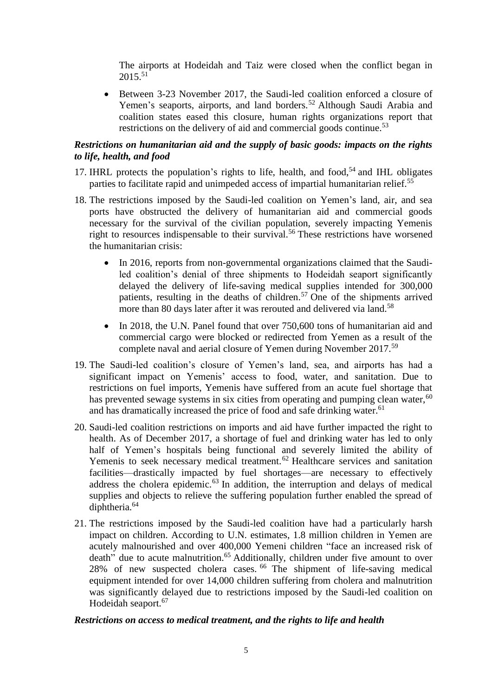The airports at Hodeidah and Taiz were closed when the conflict began in  $2015^{51}$ 

 Between 3-23 November 2017, the Saudi-led coalition enforced a closure of Yemen's seaports, airports, and land borders.<sup>52</sup> Although Saudi Arabia and coalition states eased this closure, human rights organizations report that restrictions on the delivery of aid and commercial goods continue.<sup>53</sup>

# *Restrictions on humanitarian aid and the supply of basic goods: impacts on the rights to life, health, and food*

- 17. IHRL protects the population's rights to life, health, and food, $54$  and IHL obligates parties to facilitate rapid and unimpeded access of impartial humanitarian relief.<sup>55</sup>
- 18. The restrictions imposed by the Saudi-led coalition on Yemen's land, air, and sea ports have obstructed the delivery of humanitarian aid and commercial goods necessary for the survival of the civilian population, severely impacting Yemenis right to resources indispensable to their survival.<sup>56</sup> These restrictions have worsened the humanitarian crisis:
	- In 2016, reports from non-governmental organizations claimed that the Saudiled coalition's denial of three shipments to Hodeidah seaport significantly delayed the delivery of life-saving medical supplies intended for 300,000 patients, resulting in the deaths of children. <sup>57</sup> One of the shipments arrived more than 80 days later after it was rerouted and delivered via land.<sup>58</sup>
	- In 2018, the U.N. Panel found that over 750,600 tons of humanitarian aid and commercial cargo were blocked or redirected from Yemen as a result of the complete naval and aerial closure of Yemen during November 2017.<sup>59</sup>
- 19. The Saudi-led coalition's closure of Yemen's land, sea, and airports has had a significant impact on Yemenis' access to food, water, and sanitation. Due to restrictions on fuel imports, Yemenis have suffered from an acute fuel shortage that has prevented sewage systems in six cities from operating and pumping clean water, $60$ and has dramatically increased the price of food and safe drinking water.<sup>61</sup>
- 20. Saudi-led coalition restrictions on imports and aid have further impacted the right to health. As of December 2017, a shortage of fuel and drinking water has led to only half of Yemen's hospitals being functional and severely limited the ability of Yemenis to seek necessary medical treatment.<sup>62</sup> Healthcare services and sanitation facilities—drastically impacted by fuel shortages—are necessary to effectively address the cholera epidemic.<sup>63</sup> In addition, the interruption and delays of medical supplies and objects to relieve the suffering population further enabled the spread of diphtheria.<sup>64</sup>
- 21. The restrictions imposed by the Saudi-led coalition have had a particularly harsh impact on children. According to U.N. estimates, 1.8 million children in Yemen are acutely malnourished and over 400,000 Yemeni children "face an increased risk of death" due to acute malnutrition.<sup>65</sup> Additionally, children under five amount to over 28% of new suspected cholera cases. <sup>66</sup> The shipment of life-saving medical equipment intended for over 14,000 children suffering from cholera and malnutrition was significantly delayed due to restrictions imposed by the Saudi-led coalition on Hodeidah seaport.<sup>67</sup>

# *Restrictions on access to medical treatment, and the rights to life and health*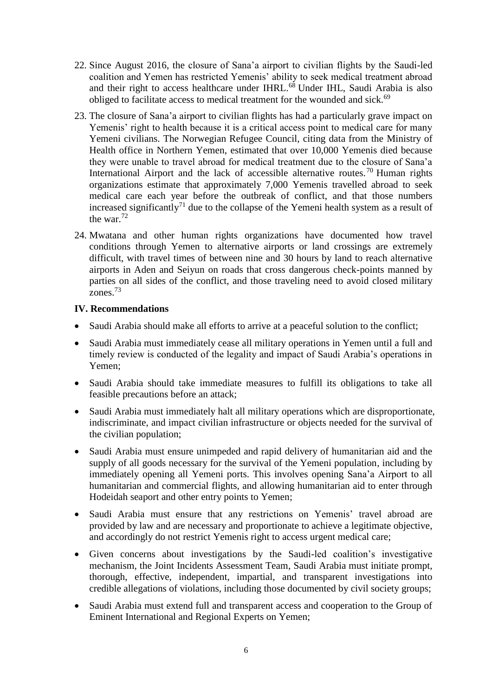- 22. Since August 2016, the closure of Sana'a airport to civilian flights by the Saudi-led coalition and Yemen has restricted Yemenis' ability to seek medical treatment abroad and their right to access healthcare under IHRL.<sup>68</sup> Under IHL, Saudi Arabia is also obliged to facilitate access to medical treatment for the wounded and sick.<sup>69</sup>
- 23. The closure of Sana'a airport to civilian flights has had a particularly grave impact on Yemenis' right to health because it is a critical access point to medical care for many Yemeni civilians. The Norwegian Refugee Council, citing data from the Ministry of Health office in Northern Yemen, estimated that over 10,000 Yemenis died because they were unable to travel abroad for medical treatment due to the closure of Sana'a International Airport and the lack of accessible alternative routes.<sup>70</sup> Human rights organizations estimate that approximately 7,000 Yemenis travelled abroad to seek medical care each year before the outbreak of conflict, and that those numbers increased significantly<sup>71</sup> due to the collapse of the Yemeni health system as a result of the war. $72$
- 24. Mwatana and other human rights organizations have documented how travel conditions through Yemen to alternative airports or land crossings are extremely difficult, with travel times of between nine and 30 hours by land to reach alternative airports in Aden and Seiyun on roads that cross dangerous check-points manned by parties on all sides of the conflict, and those traveling need to avoid closed military zones.<sup>73</sup>

# **IV. Recommendations**

- Saudi Arabia should make all efforts to arrive at a peaceful solution to the conflict;
- Saudi Arabia must immediately cease all military operations in Yemen until a full and timely review is conducted of the legality and impact of Saudi Arabia's operations in Yemen;
- Saudi Arabia should take immediate measures to fulfill its obligations to take all feasible precautions before an attack;
- Saudi Arabia must immediately halt all military operations which are disproportionate, indiscriminate, and impact civilian infrastructure or objects needed for the survival of the civilian population;
- Saudi Arabia must ensure unimpeded and rapid delivery of humanitarian aid and the supply of all goods necessary for the survival of the Yemeni population, including by immediately opening all Yemeni ports. This involves opening Sana'a Airport to all humanitarian and commercial flights, and allowing humanitarian aid to enter through Hodeidah seaport and other entry points to Yemen;
- Saudi Arabia must ensure that any restrictions on Yemenis' travel abroad are provided by law and are necessary and proportionate to achieve a legitimate objective, and accordingly do not restrict Yemenis right to access urgent medical care;
- Given concerns about investigations by the Saudi-led coalition's investigative mechanism, the Joint Incidents Assessment Team, Saudi Arabia must initiate prompt, thorough, effective, independent, impartial, and transparent investigations into credible allegations of violations, including those documented by civil society groups;
- Saudi Arabia must extend full and transparent access and cooperation to the Group of Eminent International and Regional Experts on Yemen;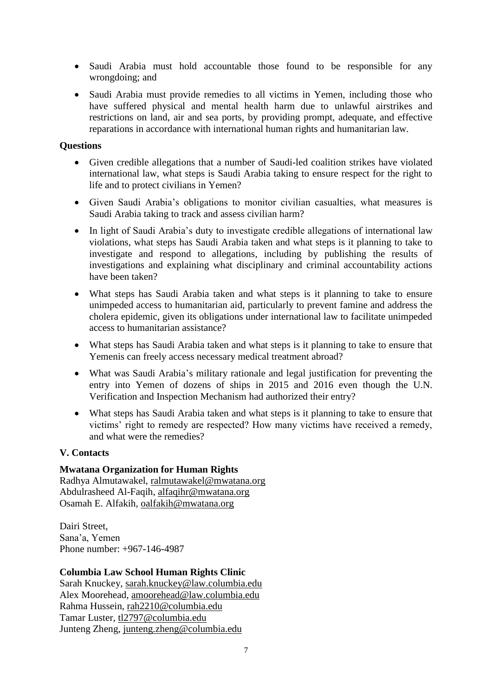- Saudi Arabia must hold accountable those found to be responsible for any wrongdoing; and
- Saudi Arabia must provide remedies to all victims in Yemen, including those who have suffered physical and mental health harm due to unlawful airstrikes and restrictions on land, air and sea ports, by providing prompt, adequate, and effective reparations in accordance with international human rights and humanitarian law.

## **Questions**

- Given credible allegations that a number of Saudi-led coalition strikes have violated international law, what steps is Saudi Arabia taking to ensure respect for the right to life and to protect civilians in Yemen?
- Given Saudi Arabia's obligations to monitor civilian casualties, what measures is Saudi Arabia taking to track and assess civilian harm?
- In light of Saudi Arabia's duty to investigate credible allegations of international law violations, what steps has Saudi Arabia taken and what steps is it planning to take to investigate and respond to allegations, including by publishing the results of investigations and explaining what disciplinary and criminal accountability actions have been taken?
- What steps has Saudi Arabia taken and what steps is it planning to take to ensure unimpeded access to humanitarian aid, particularly to prevent famine and address the cholera epidemic, given its obligations under international law to facilitate unimpeded access to humanitarian assistance?
- What steps has Saudi Arabia taken and what steps is it planning to take to ensure that Yemenis can freely access necessary medical treatment abroad?
- What was Saudi Arabia's military rationale and legal justification for preventing the entry into Yemen of dozens of ships in 2015 and 2016 even though the U.N. Verification and Inspection Mechanism had authorized their entry?
- What steps has Saudi Arabia taken and what steps is it planning to take to ensure that victims' right to remedy are respected? How many victims have received a remedy, and what were the remedies?

# **V. Contacts**

# **Mwatana Organization for Human Rights**

Radhya Almutawakel, [ralmutawakel@mwatana.org](mailto:ralmutawakel@mwatana.org) Abdulrasheed Al-Faqih, alfaqihr@mwatana.org Osamah E. Alfakih, oalfakih@mwatana.org

Dairi Street, Sana'a, Yemen Phone number: +967-146-4987

### **Columbia Law School Human Rights Clinic**

Sarah Knuckey, [sarah.knuckey@law.columbia.edu](mailto:sarah.knuckey@law.columbia.edu) Alex Moorehead, [amoorehead@law.columbia.edu](mailto:amoorehead@law.columbia.edu) Rahma Hussein, rah2210@columbia.edu Tamar Luster, tl2797@columbia.edu Junteng Zheng, junteng.zheng@columbia.edu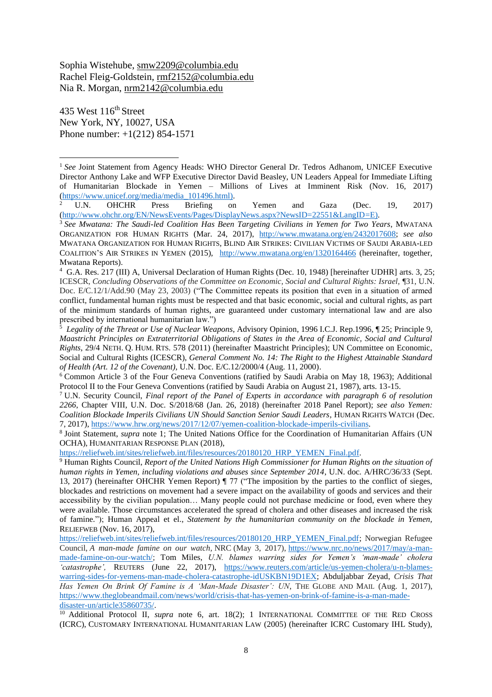Sophia Wistehube, smw2209@columbia.edu Rachel Fleig-Goldstein, rmf2152@columbia.edu Nia R. Morgan, nrm2142@columbia.edu

435 West 116<sup>th</sup> Street New York, NY, 10027, USA Phone number: +1(212) 854-1571

 $\overline{a}$ 

<sup>2</sup> U.N. OHCHR Press Briefing on Yemen and Gaza (Dec. 19, 2017) [\(http://www.ohchr.org/EN/NewsEvents/Pages/DisplayNews.aspx?NewsID=22551&LangID=E\)](http://www.ohchr.org/EN/NewsEvents/Pages/DisplayNews.aspx?NewsID=22551&LangID=E).

<sup>7</sup> U.N. Security Council, *Final report of the Panel of Experts in accordance with paragraph 6 of resolution 2266*, Chapter VIII, U.N. Doc. S/2018/68 (Jan. 26, 2018) (hereinafter 2018 Panel Report); *see also Yemen: Coalition Blockade Imperils Civilians UN Should Sanction Senior Saudi Leaders*, HUMAN RIGHTS WATCH (Dec. 7, 2017), [https://www.hrw.org/news/2017/12/07/yemen-coalition-blockade-imperils-civilians.](https://www.hrw.org/news/2017/12/07/yemen-coalition-blockade-imperils-civilians)

8 Joint Statement, *supra* note 1; The United Nations Office for the Coordination of Humanitarian Affairs (UN OCHA), HUMANITARIAN RESPONSE PLAN (2018),

[https://reliefweb.int/sites/reliefweb.int/files/resources/20180120\\_HRP\\_YEMEN\\_Final.pdf.](https://reliefweb.int/sites/reliefweb.int/files/resources/20180120_HRP_YEMEN_Final.pdf)

<sup>9</sup> Human Rights Council, *Report of the United Nations High Commissioner for Human Rights on the situation of human rights in Yemen, including violations and abuses since September 2014*, U.N. doc. A/HRC/36/33 (Sept. 13, 2017) (hereinafter OHCHR Yemen Report) ¶ 77 ("The imposition by the parties to the conflict of sieges, blockades and restrictions on movement had a severe impact on the availability of goods and services and their accessibility by the civilian population… Many people could not purchase medicine or food, even where they were available. Those circumstances accelerated the spread of cholera and other diseases and increased the risk of famine."); Human Appeal et el., *Statement by the humanitarian community on the blockade in Yemen,* RELIEFWEB (Nov. 16, 2017),

[https://reliefweb.int/sites/reliefweb.int/files/resources/20180120\\_HRP\\_YEMEN\\_Final.pdf;](https://reliefweb.int/sites/reliefweb.int/files/resources/20180120_HRP_YEMEN_Final.pdf) Norwegian Refugee Council, *A man-made famine on our watch,* NRC (May 3, 2017), [https://www.nrc.no/news/2017/may/a-man](https://www.nrc.no/news/2017/may/a-man-made-famine-on-our-watch/)[made-famine-on-our-watch/;](https://www.nrc.no/news/2017/may/a-man-made-famine-on-our-watch/) Tom Miles, *U.N. blames warring sides for Yemen's 'man-made' cholera 'catastrophe',* REUTERS (June 22, 2017), [https://www.reuters.com/article/us-yemen-cholera/u-n-blames](https://www.reuters.com/article/us-yemen-cholera/u-n-blames-warring-sides-for-yemens-man-made-cholera-catastrophe-idUSKBN19D1EX)[warring-sides-for-yemens-man-made-cholera-catastrophe-idUSKBN19D1EX;](https://www.reuters.com/article/us-yemen-cholera/u-n-blames-warring-sides-for-yemens-man-made-cholera-catastrophe-idUSKBN19D1EX) Abduljabbar Zeyad, *Crisis That Has Yemen On Brink Of Famine is A 'Man-Made Disaster': UN*, THE GLOBE AND MAIL (Aug. 1, 2017), [https://www.theglobeandmail.com/news/world/crisis-that-has-yemen-on-brink-of-famine-is-a-man-made](https://www.theglobeandmail.com/news/world/crisis-that-has-yemen-on-brink-of-famine-is-a-man-made-disaster-un/article35860735/)[disaster-un/article35860735/.](https://www.theglobeandmail.com/news/world/crisis-that-has-yemen-on-brink-of-famine-is-a-man-made-disaster-un/article35860735/)

<sup>10</sup> Additional Protocol II, *supra* note 6, art. 18(2); 1 INTERNATIONAL COMMITTEE OF THE RED CROSS (ICRC), CUSTOMARY INTERNATIONAL HUMANITARIAN LAW (2005) (hereinafter ICRC Customary IHL Study),

<sup>&</sup>lt;sup>1</sup> See Joint Statement from Agency Heads: WHO Director General Dr. Tedros Adhanom, UNICEF Executive Director Anthony Lake and WFP Executive Director David Beasley, UN Leaders Appeal for Immediate Lifting of Humanitarian Blockade in Yemen – Millions of Lives at Imminent Risk (Nov. 16, 2017) [\(https://www.unicef.org/media/media\\_101496.html\)](https://www.unicef.org/media/media_101496.html).<br><sup>2</sup> U.N. OHCHR Press Briefing on

<sup>3</sup> *See Mwatana: The Saudi-led Coalition Has Been Targeting Civilians in Yemen for Two Years*, MWATANA ORGANIZATION FOR HUMAN RIGHTS (Mar. 24, 2017), [http://www.mwatana.org/en/2432017608;](http://www.mwatana.org/en/2432017608) *see also* MWATANA ORGANIZATION FOR HUMAN RIGHTS, BLIND AIR STRIKES: CIVILIAN VICTIMS OF SAUDI ARABIA-LED COALITION'S AIR STRIKES IN YEMEN (2015), <http://www.mwatana.org/en/1320164466> (hereinafter, together, Mwatana Reports).

<sup>4</sup> G.A. Res. 217 (III) A, Universal Declaration of Human Rights (Dec. 10, 1948) [hereinafter UDHR] arts. 3, 25; ICESCR, *Concluding Observations of the Committee on Economic, Social and Cultural Rights: Israel,* ¶31, U.N. Doc. E/C.12/1/Add.90 (May 23, 2003) ("The Committee repeats its position that even in a situation of armed conflict, fundamental human rights must be respected and that basic economic, social and cultural rights, as part of the minimum standards of human rights, are guaranteed under customary international law and are also prescribed by international humanitarian law.")

<sup>5</sup> *Legality of the Threat or Use of Nuclear Weapons*, Advisory Opinion, 1996 I.C.J. Rep.1996, ¶ 25; Principle 9, *Maastricht Principles on Extraterritorial Obligations of States in the Area of Economic, Social and Cultural Rights*, 29/4 NETH. Q. HUM. RTS. 578 (2011) (hereinafter Maastricht Principles); UN Committee on Economic, Social and Cultural Rights (ICESCR), *General Comment No. 14: The Right to the Highest Attainable Standard of Health (Art. 12 of the Covenant),* U.N. Doc. E/C.12/2000/4 (Aug. 11, 2000).

<sup>6</sup> Common Article 3 of the Four Geneva Conventions (ratified by Saudi Arabia on May 18, 1963); Additional Protocol II to the Four Geneva Conventions (ratified by Saudi Arabia on August 21, 1987), arts. 13-15.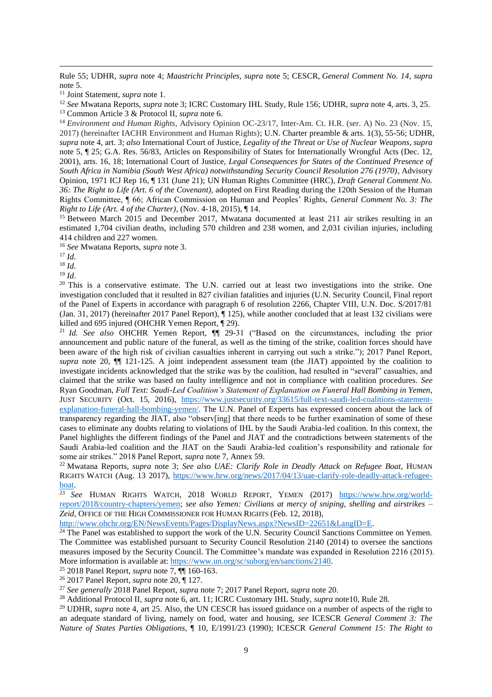Rule 55; UDHR, *supra* note 4; *Maastricht Principles, supra* note 5; CESCR, *General Comment No. 14, supra*  note 5.

<sup>11</sup> Joint Statement, *supra* note 1.

<sup>12</sup> *See* Mwatana Reports, *supra* note 3; ICRC Customary IHL Study, Rule 156; UDHR, *supra* note 4, arts. 3, 25. <sup>13</sup> Common Article 3 & Protocol II, *supra* note 6.

<sup>14</sup> *Environment and Human Rights*, Advisory Opinion OC-23/17, Inter-Am. Ct. H.R. (ser. A) No. 23 (Nov. 15, 2017) (hereinafter IACHR Environment and Human Rights); U.N. Charter preamble & arts. 1(3), 55-56; UDHR, *supra* note 4, art. 3; *also* International Court of Justice, *Legality of the Threat or Use of Nuclear Weapons*, *supra* note 5, ¶ 25; G.A. Res. 56/83, Articles on Responsibility of States for Internationally Wrongful Acts (Dec. 12, 2001), arts. 16, 18; International Court of Justice, *Legal Consequences for States of the Continued Presence of South Africa in Namibia (South West Africa) notwithstanding Security Council Resolution 276 (1970)*, Advisory Opinion, 1971 ICJ Rep 16, ¶ 131 (June 21); UN Human Rights Committee (HRC), *Draft General Comment No. 36: The Right to Life (Art. 6 of the Covenant),* adopted on First Reading during the 120th Session of the Human Rights Committee, ¶ 66; African Commission on Human and Peoples' Rights, *General Comment No. 3: The Right to Life (Art. 4 of the Charter)*, (Nov. 4-18, 2015), ¶ 14.

<sup>15</sup> Between March 2015 and December 2017, Mwatana documented at least 211 air strikes resulting in an estimated 1,704 civilian deaths, including 570 children and 238 women, and 2,031 civilian injuries, including 414 children and 227 women.

<sup>16</sup> *See* Mwatana Reports, *supra* note 3.

<sup>17</sup> *Id*.

 $\overline{a}$ 

<sup>18</sup> *Id.*

<sup>19</sup> *Id*.

<sup>20</sup> This is a conservative estimate. The U.N. carried out at least two investigations into the strike. One investigation concluded that it resulted in 827 civilian fatalities and injuries (U.N. Security Council, Final report of the Panel of Experts in accordance with paragraph 6 of resolution 2266, Chapter VIII, U.N. Doc. S/2017/81 (Jan. 31, 2017) (hereinafter 2017 Panel Report), ¶ 125), while another concluded that at least 132 civilians were killed and 695 injured (OHCHR Yemen Report, ¶ 29).

<sup>21</sup> *Id. See also* OHCHR Yemen Report, ¶¶ 29-31 ("Based on the circumstances, including the prior announcement and public nature of the funeral, as well as the timing of the strike, coalition forces should have been aware of the high risk of civilian casualties inherent in carrying out such a strike."); 2017 Panel Report, *supra* note 20, ¶¶ 121-125. A joint independent assessment team (the JIAT) appointed by the coalition to investigate incidents acknowledged that the strike was by the coalition, had resulted in "several" casualties, and claimed that the strike was based on faulty intelligence and not in compliance with coalition procedures. *See* Ryan Goodman, *Full Text: Saudi-Led Coalition's Statement of Explanation on Funeral Hall Bombing in Yemen*, JUST SECURITY (Oct. 15, 2016), [https://www.justsecurity.org/33615/full-text-saudi-led-coalitions-statement](https://www.justsecurity.org/33615/full-text-saudi-led-coalitions-statement-explanation-funeral-hall-bombing-yemen/)[explanation-funeral-hall-bombing-yemen/.](https://www.justsecurity.org/33615/full-text-saudi-led-coalitions-statement-explanation-funeral-hall-bombing-yemen/) The U.N. Panel of Experts has expressed concern about the lack of transparency regarding the JIAT, also "observ[ing] that there needs to be further examination of some of these cases to eliminate any doubts relating to violations of IHL by the Saudi Arabia-led coalition. In this context, the Panel highlights the different findings of the Panel and JIAT and the contradictions between statements of the Saudi Arabia-led coalition and the JIAT on the Saudi Arabia-led coalition's responsibility and rationale for some air strikes." 2018 Panel Report, *supra* note 7, Annex 59.

<sup>22</sup> Mwatana Reports, *supra* note 3; *See als*o *UAE: Clarify Role in Deadly Attack on Refugee Boat*, HUMAN RIGHTS WATCH (Aug. 13 2017), [https://www.hrw.org/news/2017/04/13/uae-clarify-role-deadly-attack-refugee](https://www.hrw.org/news/2017/04/13/uae-clarify-role-deadly-attack-refugee-boat)[boat.](https://www.hrw.org/news/2017/04/13/uae-clarify-role-deadly-attack-refugee-boat)

<sup>23</sup> *See* HUMAN RIGHTS WATCH, 2018 WORLD REPORT, YEMEN (2017) [https://www.hrw.org/world](https://www.hrw.org/world-report/2018/country-chapters/yemen)[report/2018/country-chapters/yemen;](https://www.hrw.org/world-report/2018/country-chapters/yemen) *see also Yemen: Civilians at mercy of sniping, shelling and airstrikes – Zeid*, OFFICE OF THE HIGH COMMISSIONER FOR HUMAN RIGHTS (Feb. 12, 2018),

[http://www.ohchr.org/EN/NewsEvents/Pages/DisplayNews.aspx?NewsID=22651&LangID=E.](http://www.ohchr.org/EN/NewsEvents/Pages/DisplayNews.aspx?NewsID=22651&LangID=E)

<sup>24</sup> The Panel was established to support the work of the U.N. Security Council Sanctions Committee on Yemen. The Committee was established pursuant to Security Council Resolution 2140 (2014) to oversee the sanctions measures imposed by the Security Council. The Committee's mandate was expanded in Resolution 2216 (2015). More information is available at: [https://www.un.org/sc/suborg/en/sanctions/2140.](https://www.un.org/sc/suborg/en/sanctions/2140)

<sup>25</sup> 2018 Panel Report, *supra* note 7, ¶¶ 160-163.

<sup>26</sup> 2017 Panel Report, *supra* note 20, ¶ 127.

<sup>27</sup> *See generally* 2018 Panel Report, *supra* note 7; 2017 Panel Report, *supra* note 20.

<sup>28</sup> Additional Protocol II, *supra* note 6, art. 11; ICRC Customary IHL Study, *supra* note10, Rule 28.

<sup>29</sup> UDHR, *supra* note 4, art 25. Also, the UN CESCR has issued guidance on a number of aspects of the right to an adequate standard of living, namely on food, water and housing, *see* ICESCR *General Comment 3: The Nature of States Parties Obligations*, ¶ 10, E/1991/23 (1990); ICESCR *General Comment 15: The Right to*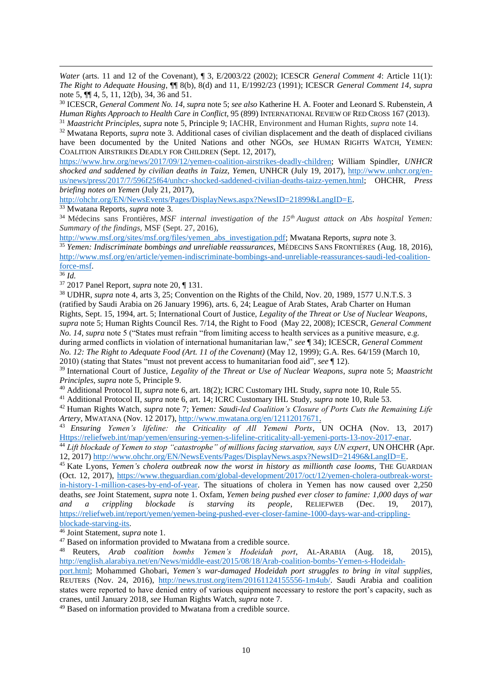*Water* (arts. 11 and 12 of the Covenant),  $\parallel$  3, E/2003/22 (2002); ICESCR *General Comment 4*: Article 11(1): *The Right to Adequate Housing*, ¶¶ 8(b), 8(d) and 11, E/1992/23 (1991); ICESCR *General Comment 14*, *supra* note 5, ¶¶ 4, 5, 11, 12(b), 34, 36 and 51.

<sup>30</sup> ICESCR, *General Comment No. 14, supra* note 5; *see also* Katherine H. A. Footer and Leonard S. Rubenstein, *A Human Rights Approach to Health Care in Conflict*, 95 (899) INTERNATIONAL REVIEW OF RED CROSS 167 (2013).

<sup>31</sup> *Maastricht Principles*, *supra* note 5, Principle 9; IACHR, Environment and Human Rights, *supra* note 14.

<sup>32</sup> Mwatana Reports, *supra* note 3. Additional cases of civilian displacement and the death of displaced civilians have been documented by the United Nations and other NGOs, *see* HUMAN RIGHTS WATCH, YEMEN: COALITION AIRSTRIKES DEADLY FOR CHILDREN (Sept. 12, 2017),

[https://www.hrw.org/news/2017/09/12/yemen-coalition-airstrikes-deadly-children;](https://www.hrw.org/news/2017/09/12/yemen-coalition-airstrikes-deadly-children) William Spindler, *UNHCR shocked and saddened by civilian deaths in Taizz, Yeme*n, UNHCR (July 19, 2017), [http://www.unhcr.org/en](http://www.unhcr.org/en-us/news/press/2017/7/596f25f64/unhcr-shocked-saddened-civilian-deaths-taizz-yemen.html)[us/news/press/2017/7/596f25f64/unhcr-shocked-saddened-civilian-deaths-taizz-yemen.html;](http://www.unhcr.org/en-us/news/press/2017/7/596f25f64/unhcr-shocked-saddened-civilian-deaths-taizz-yemen.html) OHCHR, *Press briefing notes on Yemen* (July 21, 2017),

[http://ohchr.org/EN/NewsEvents/Pages/DisplayNews.aspx?NewsID=21899&LangID=E.](http://ohchr.org/EN/NewsEvents/Pages/DisplayNews.aspx?NewsID=21899&LangID=E)

<sup>33</sup> Mwatana Reports, *supra* note 3.

<sup>34</sup> Médecins sans Frontières, *MSF internal investigation of the 15th August attack on Abs hospital Yemen: Summary of the findings,* MSF (Sept. 27, 2016),

[http://www.msf.org/sites/msf.org/files/yemen\\_abs\\_investigation.pdf;](http://www.msf.org/sites/msf.org/files/yemen_abs_investigation.pdf) Mwatana Reports, *supra* note 3.

<sup>35</sup> *Yemen: Indiscriminate bombings and unreliable reassurances*, MÉDECINS SANS FRONTIÈRES (Aug. 18, 2016), [http://www.msf.org/en/article/yemen-indiscriminate-bombings-and-unreliable-reassurances-saudi-led-coalition](http://www.msf.org/en/article/yemen-indiscriminate-bombings-and-unreliable-reassurances-saudi-led-coalition-force-msf)[force-msf.](http://www.msf.org/en/article/yemen-indiscriminate-bombings-and-unreliable-reassurances-saudi-led-coalition-force-msf)

<sup>36</sup> *Id.*

 $\overline{a}$ 

<sup>37</sup> 2017 Panel Report, *supra* note 20, ¶ 131.

<sup>38</sup> UDHR, *supra* note 4, arts 3, 25; Convention on the Rights of the Child, Nov. 20, 1989, 1577 U.N.T.S. 3 (ratified by Saudi Arabia on 26 January 1996), arts. 6, 24; League of Arab States, Arab Charter on Human Rights, Sept. 15, 1994, art. 5; International Court of Justice, *Legality of the Threat or Use of Nuclear Weapons*, *supra* note 5; Human Rights Council Res. 7/14, the Right to Food (May 22, 2008); ICESCR, *General Comment No. 14, supra* note 5 ("States must refrain "from limiting access to health services as a punitive measure, e.g. during armed conflicts in violation of international humanitarian law," *see* ¶ 34); ICESCR, *General Comment No. 12: The Right to Adequate Food (Art. 11 of the Covenant)* (May 12, 1999); G.A. Res. 64/159 (March 10, 2010) (stating that States "must not prevent access to humanitarian food aid", *see* ¶ 12).

<sup>39</sup> International Court of Justice, *Legality of the Threat or Use of Nuclear Weapons*, *supra* note 5; *Maastricht Principles*, *supra* note 5, Principle 9.

<sup>40</sup> Additional Protocol II, *supra* note 6, art. 18(2); ICRC Customary IHL Study, *supra* note 10, Rule 55.

<sup>41</sup> Additional Protocol II, *supra* note 6, art. 14; ICRC Customary IHL Study, *supra* note 10*,* Rule 53.

<sup>42</sup> Human Rights Watch, *supra* note 7; *Yemen: Saudi-led Coalition's Closure of Ports Cuts the Remaining Life Artery*, MWATANA (Nov. 12 2017), [http://www.mwatana.org/en/12112017671.](http://www.mwatana.org/en/12112017671)

<sup>43</sup> *Ensuring Yemen's lifeline: the Criticality of All Yemeni Ports*, UN OCHA (Nov. 13, 2017) [Https://reliefweb.int/map/yemen/ensuring-yemen-s-lifeline-criticality-all-yemeni-ports-13-nov-2017-enar.](https://reliefweb.int/map/yemen/ensuring-yemen-s-lifeline-criticality-all-yemeni-ports-13-nov-2017-enar)

<sup>44</sup> Lift blockade of Yemen to stop "catastrophe" of millions facing starvation, says UN expert, UN OHCHR (Apr. 12, 2017) [http://www.ohchr.org/EN/NewsEvents/Pages/DisplayNews.aspx?NewsID=21496&LangID=E.](http://www.ohchr.org/EN/NewsEvents/Pages/DisplayNews.aspx?NewsID=21496&LangID=E)

<sup>45</sup> Kate [Lyons,](https://www.theguardian.com/profile/kate-lyons) *Yemen's cholera outbreak now the worst in history as millionth case looms*, THE GUARDIAN (Oct. 12, 2017), [https://www.theguardian.com/global-development/2017/oct/12/yemen-cholera-outbreak-worst](https://www.theguardian.com/global-development/2017/oct/12/yemen-cholera-outbreak-worst-in-history-1-million-cases-by-end-of-year)[in-history-1-million-cases-by-end-of-year.](https://www.theguardian.com/global-development/2017/oct/12/yemen-cholera-outbreak-worst-in-history-1-million-cases-by-end-of-year) The situations of cholera in Yemen has now caused over 2,250 deaths, *see* Joint Statement, *supra* note 1. Oxfam, *Yemen being pushed ever closer to famine: 1,000 days of war and a crippling blockade is starving its people, RELIEFWEB (Dec. 19. 2017). and a crippling blockade is starving its people*, RELIEFWEB (Dec. 19, 2017), [https://reliefweb.int/report/yemen/yemen-being-pushed-ever-closer-famine-1000-days-war-and-crippling](https://reliefweb.int/report/yemen/yemen-being-pushed-ever-closer-famine-1000-days-war-and-crippling-blockade-starving-its)[blockade-starving-its.](https://reliefweb.int/report/yemen/yemen-being-pushed-ever-closer-famine-1000-days-war-and-crippling-blockade-starving-its)

<sup>46</sup> Joint Statement, *supra* note 1.

<sup>47</sup> Based on information provided to Mwatana from a credible source.

<sup>48</sup> Reuters, *Arab coalition bombs Yemen's Hodeidah port*, AL-ARABIA (Aug. 18, 2015), [http://english.alarabiya.net/en/News/middle-east/2015/08/18/Arab-coalition-bombs-Yemen-s-Hodeidah-](http://english.alarabiya.net/en/News/middle-east/2015/08/18/Arab-coalition-bombs-Yemen-s-Hodeidah-port.html)

[port.html;](http://english.alarabiya.net/en/News/middle-east/2015/08/18/Arab-coalition-bombs-Yemen-s-Hodeidah-port.html) Mohammed Ghobari, *Yemen's war-damaged Hodeidah port struggles to bring in vital supplies,*  REUTERS (Nov. 24, 2016), [http://news.trust.org/item/20161124155556-1m4ub/.](http://news.trust.org/item/20161124155556-1m4ub/) Saudi Arabia and coalition states were reported to have denied entry of various equipment necessary to restore the port's capacity, such as cranes, until January 2018, *see* Human Rights Watch, *supra* note 7.

<sup>49</sup> Based on information provided to Mwatana from a credible source.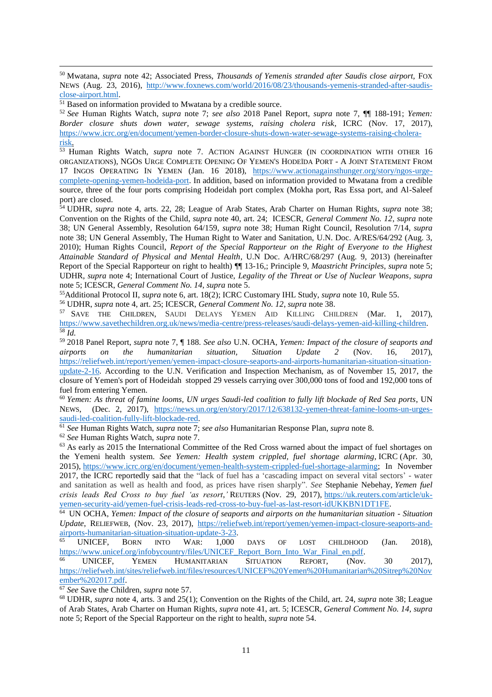<sup>50</sup> Mwatana, *supra* note 42; Associated Press, *Thousands of Yemenis stranded after Saudis close airport,* FOX NEWS (Aug. 23, 2016), [http://www.foxnews.com/world/2016/08/23/thousands-yemenis-stranded-after-saudis](http://www.foxnews.com/world/2016/08/23/thousands-yemenis-stranded-after-saudis-close-airport.html)[close-airport.html.](http://www.foxnews.com/world/2016/08/23/thousands-yemenis-stranded-after-saudis-close-airport.html)

<sup>51</sup> Based on information provided to Mwatana by a credible source.

 $\overline{a}$ 

<sup>52</sup> *See* Human Rights Watch, *supra* note 7; *see also* 2018 Panel Report, *supra* note 7, ¶¶ 188-191; *Yemen: Border closure shuts down water, sewage systems, raising cholera risk*, ICRC (Nov. 17, 2017), [https://www.icrc.org/en/document/yemen-border-closure-shuts-down-water-sewage-systems-raising-cholera](https://www.icrc.org/en/document/yemen-border-closure-shuts-down-water-sewage-systems-raising-cholera-risk)[risk.](https://www.icrc.org/en/document/yemen-border-closure-shuts-down-water-sewage-systems-raising-cholera-risk)

<sup>53</sup> Human Rights Watch, *supra* note 7. ACTION AGAINST HUNGER (IN COORDINATION WITH OTHER 16 ORGANIZATIONS), NGOS URGE COMPLETE OPENING OF YEMEN'S HODEÏDA PORT - A JOINT STATEMENT FROM 17 INGOS OPERATING IN YEMEN (Jan. 16 2018), [https://www.actionagainsthunger.org/story/ngos-urge](https://www.actionagainsthunger.org/story/ngos-urge-complete-opening-yemen-hodeida-port)[complete-opening-yemen-hodeida-port.](https://www.actionagainsthunger.org/story/ngos-urge-complete-opening-yemen-hodeida-port) In addition, based on information provided to Mwatana from a credible source, three of the four ports comprising Hodeidah port complex (Mokha port, Ras Essa port, and Al-Saleef port) are closed.

<sup>54</sup> UDHR, *supra* note 4, arts. 22, 28; League of Arab States, Arab Charter on Human Rights, *supra* note 38; Convention on the Rights of the Child, *supra* note 40, art. 24; ICESCR, *General Comment No. 12*, *supra* note 38; UN General Assembly, Resolution 64/159*, supra* note 38; Human Right Council*,* Resolution 7/14*, supra*  note 38; UN General Assembly, The Human Right to Water and Sanitation, U.N. Doc. A/RES/64/292 (Aug. 3, 2010); Human Rights Council, *Report of the Special Rapporteur on the Right of Everyone to the Highest Attainable Standard of Physical and Mental Health*, U.N Doc. A/HRC/68/297 (Aug. 9, 2013) (hereinafter Report of the Special Rapporteur on right to health) ¶¶ 13-16,; Principle 9, *Maastricht Principles*, *supra* note 5; UDHR, *supra* note 4; International Court of Justice, *Legality of the Threat or Use of Nuclear Weapons*, *supra* note 5; ICESCR, *General Comment No. 14, supra* note 5.

<sup>55</sup>Additional Protocol II, *supra* note 6, art. 18(2); ICRC Customary IHL Study, *supra* note 10, Rule 55.

<sup>56</sup> UDHR, *supra* note 4, art. 25; ICESCR, *General Comment No. 12*, *supra* note 38.

<sup>57</sup> SAVE THE CHILDREN, SAUDI DELAYS YEMEN AID KILLING CHILDREN (Mar. 1, 2017), [https://www.savethechildren.org.uk/news/media-centre/press-releases/saudi-delays-yemen-aid-killing-children.](https://www.savethechildren.org.uk/news/media-centre/press-releases/saudi-delays-yemen-aid-killing-children) <sup>58</sup> *Id.*

<sup>59</sup> 2018 Panel Report, *supra* note 7, ¶ 188. *See also* U.N. OCHA, *Yemen: Impact of the closure of seaports and airports on the humanitarian situation, Situation Update 2* (Nov. 16, 2017), [https://reliefweb.int/report/yemen/yemen-impact-closure-seaports-and-airports-humanitarian-situation-situation](https://reliefweb.int/report/yemen/yemen-impact-closure-seaports-and-airports-humanitarian-situation-situation-update-2-16)[update-2-16.](https://reliefweb.int/report/yemen/yemen-impact-closure-seaports-and-airports-humanitarian-situation-situation-update-2-16) According to the U.N. Verification and Inspection Mechanism, as of November 15, 2017, the closure of Yemen's port of Hodeidah stopped 29 vessels carrying over 300,000 tons of food and 192,000 tons of fuel from entering Yemen.

<sup>60</sup> *Yemen: As threat of famine looms, UN urges Saudi-led coalition to fully lift blockade of Red Sea ports, UN*<br>NEWS, (Dec. 2, 2017), https://news.un.org/en/story/2017/12/638132-yemen-threat-famine-looms-un-urges(Dec. 2, 2017), [https://news.un.org/en/story/2017/12/638132-yemen-threat-famine-looms-un-urges](https://news.un.org/en/story/2017/12/638132-yemen-threat-famine-looms-un-urges-saudi-led-coalition-fully-lift-blockade-red)[saudi-led-coalition-fully-lift-blockade-red.](https://news.un.org/en/story/2017/12/638132-yemen-threat-famine-looms-un-urges-saudi-led-coalition-fully-lift-blockade-red)

<sup>61</sup> *See* Human Rights Watch, *supra* note 7; *see also* Humanitarian Response Plan, *supra* note 8.

<sup>62</sup> *See* Human Rights Watch, *supra* note 7.

<sup>63</sup> As early as 2015 the International Committee of the Red Cross warned about the impact of fuel shortages on the Yemeni health system. *See Yemen: Health system crippled, fuel shortage alarming*, ICRC (Apr. 30, 2015), [https://www.icrc.org/en/document/yemen-health-system-crippled-fuel-shortage-alarming;](https://www.icrc.org/en/document/yemen-health-system-crippled-fuel-shortage-alarming) In November 2017, the ICRC reportedly said that the "lack of fuel has a 'cascading impact on several vital sectors' - water and sanitation as well as health and food, as prices have risen sharply". *See* Stephanie Nebehay, *Yemen fuel crisis leads Red Cross to buy fuel 'as resort*,*'* REUTERS (Nov. 29, 2017), [https://uk.reuters.com/article/uk](https://uk.reuters.com/article/uk-yemen-security-aid/yemen-fuel-crisis-leads-red-cross-to-buy-fuel-as-last-resort-idUKKBN1DT1FE)[yemen-security-aid/yemen-fuel-crisis-leads-red-cross-to-buy-fuel-as-last-resort-idUKKBN1DT1FE.](https://uk.reuters.com/article/uk-yemen-security-aid/yemen-fuel-crisis-leads-red-cross-to-buy-fuel-as-last-resort-idUKKBN1DT1FE)

<sup>64</sup> UN [OCHA,](https://reliefweb.int/organization/ocha) *Yemen: Impact of the closure of seaports and airports on the humanitarian situation - Situation Update*, RELIEFWEB, (Nov. 23, 2017), [https://reliefweb.int/report/yemen/yemen-impact-closure-seaports-and](https://reliefweb.int/report/yemen/yemen-impact-closure-seaports-and-airports-humanitarian-situation-situation-update-3-23)[airports-humanitarian-situation-situation-update-3-23.](https://reliefweb.int/report/yemen/yemen-impact-closure-seaports-and-airports-humanitarian-situation-situation-update-3-23)

<sup>65</sup> UNICEF, BORN INTO WAR: 1,000 DAYS OF LOST CHILDHOOD (Jan. 2018), [https://www.unicef.org/infobycountry/files/UNICEF\\_Report\\_Born\\_Into\\_War\\_Final\\_en.pdf.](https://www.unicef.org/infobycountry/files/UNICEF_Report_Born_Into_War_Final_en.pdf)

<sup>66</sup> UNICEF, YEMEN HUMANITARIAN SITUATION REPORT*,* (Nov. 30 2017), [https://reliefweb.int/sites/reliefweb.int/files/resources/UNICEF%20Yemen%20Humanitarian%20Sitrep%20Nov](https://reliefweb.int/sites/reliefweb.int/files/resources/UNICEF%20Yemen%20Humanitarian%20Sitrep%20November%202017.pdf) [ember%202017.pdf.](https://reliefweb.int/sites/reliefweb.int/files/resources/UNICEF%20Yemen%20Humanitarian%20Sitrep%20November%202017.pdf)

<sup>67</sup> *See* Save the Children, *supra* note 57.

<sup>68</sup> UDHR, *supra* note 4, arts. 3 and 25(1); Convention on the Rights of the Child, art. 24, *supra* note 38; League of Arab States, Arab Charter on Human Rights, *supra* note 41, art. 5; ICESCR, *General Comment No. 14, supra* note 5; Report of the Special Rapporteur on the right to health, *supra* note 54.